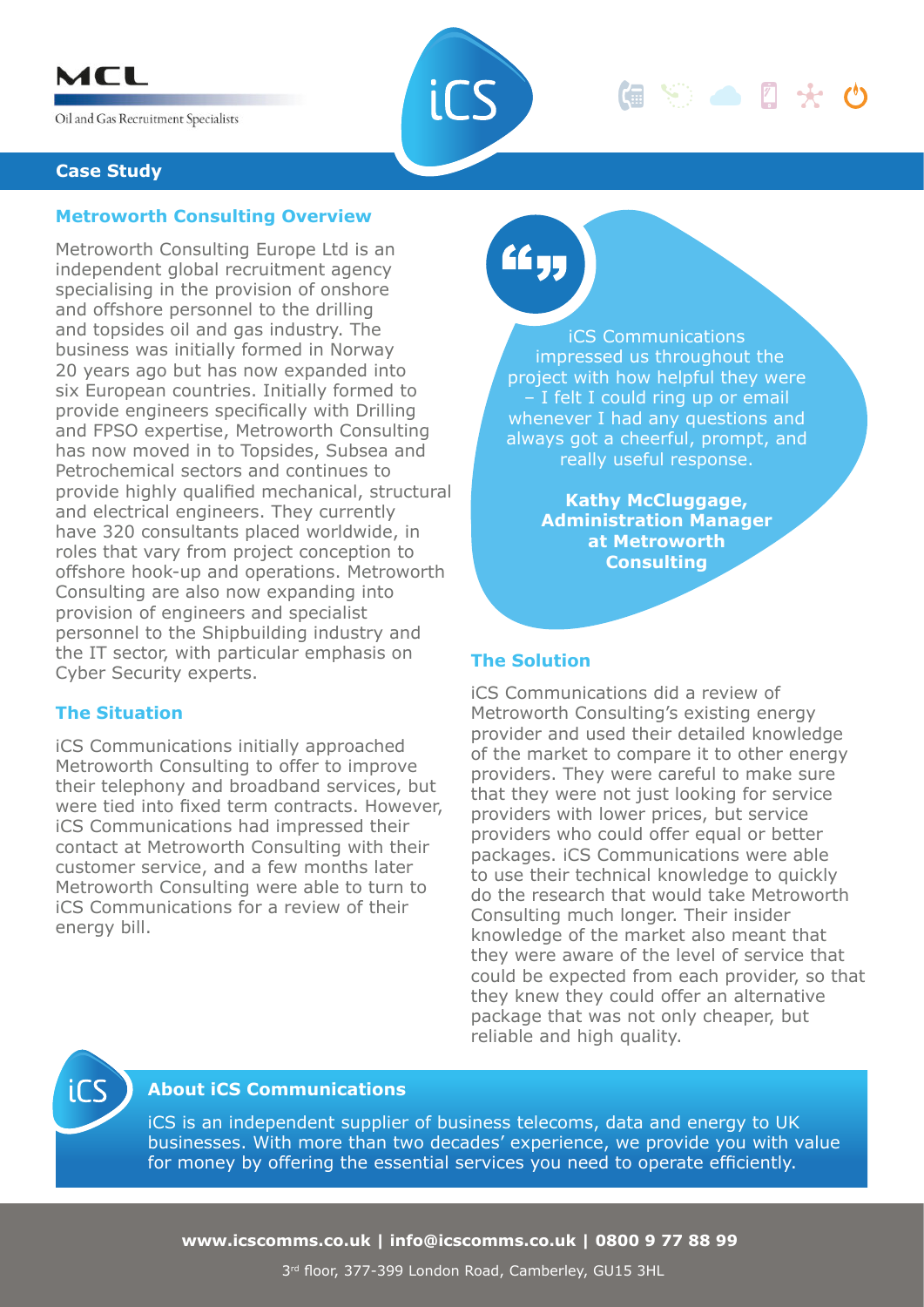

Oil and Gas Recruitment Specialists



**Case Study**

## **Metroworth Consulting Overview**

Metroworth Consulting Europe Ltd is an independent global recruitment agency specialising in the provision of onshore and offshore personnel to the drilling and topsides oil and gas industry. The business was initially formed in Norway 20 years ago but has now expanded into six European countries. Initially formed to provide engineers specifically with Drilling and FPSO expertise, Metroworth Consulting has now moved in to Topsides, Subsea and Petrochemical sectors and continues to provide highly qualified mechanical, structural and electrical engineers. They currently have 320 consultants placed worldwide, in roles that vary from project conception to offshore hook-up and operations. Metroworth Consulting are also now expanding into provision of engineers and specialist personnel to the Shipbuilding industry and the IT sector, with particular emphasis on Cyber Security experts.

## **The Situation**

iCS Communications initially approached Metroworth Consulting to offer to improve their telephony and broadband services, but were tied into fixed term contracts. However, iCS Communications had impressed their contact at Metroworth Consulting with their customer service, and a few months later Metroworth Consulting were able to turn to iCS Communications for a review of their energy bill.

££ yı

iCS Communications impressed us throughout the project with how helpful they were – I felt I could ring up or email whenever I had any questions and always got a cheerful, prompt, and really useful response.

偏等面图夹的

**Kathy McCluggage, Administration Manager at Metroworth Consulting**

#### **The Solution**

iCS Communications did a review of Metroworth Consulting's existing energy provider and used their detailed knowledge of the market to compare it to other energy providers. They were careful to make sure that they were not just looking for service providers with lower prices, but service providers who could offer equal or better packages. iCS Communications were able to use their technical knowledge to quickly do the research that would take Metroworth Consulting much longer. Their insider knowledge of the market also meant that they were aware of the level of service that could be expected from each provider, so that they knew they could offer an alternative package that was not only cheaper, but reliable and high quality.



## **About iCS Communications**

iCS is an independent supplier of business telecoms, data and energy to UK businesses. With more than two decades' experience, we provide you with value for money by offering the essential services you need to operate efficiently.

**www.icscomms.co.uk | info@icscomms.co.uk | 0800 9 77 88 99**